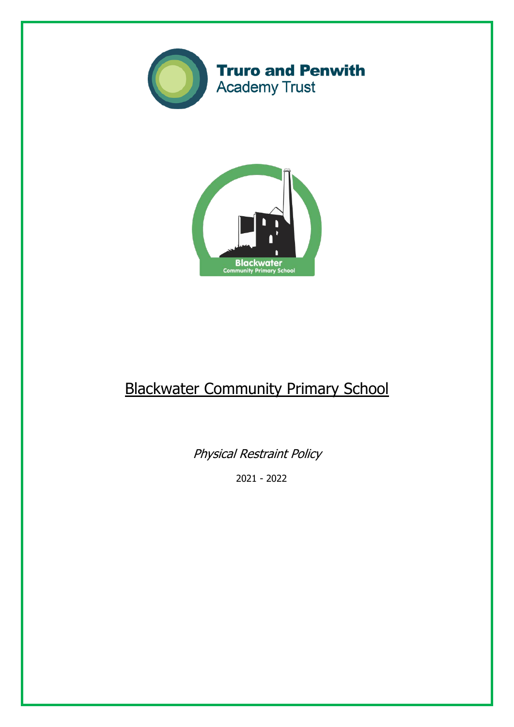



# Blackwater Community Primary School

Physical Restraint Policy

2021 - 2022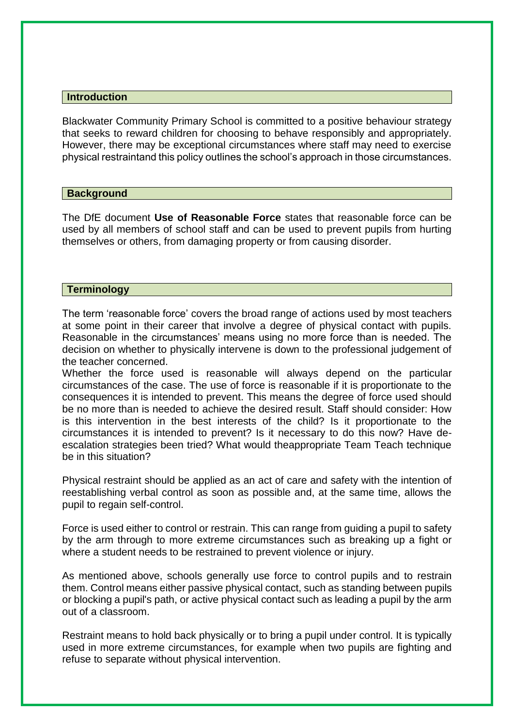#### **Introduction**

Blackwater Community Primary School is committed to a positive behaviour strategy that seeks to reward children for choosing to behave responsibly and appropriately. However, there may be exceptional circumstances where staff may need to exercise physical restraintand this policy outlines the school's approach in those circumstances.

## **Background**

The DfE document **Use of Reasonable Force** states that reasonable force can be used by all members of school staff and can be used to prevent pupils from hurting themselves or others, from damaging property or from causing disorder.

### **Terminology**

The term 'reasonable force' covers the broad range of actions used by most teachers at some point in their career that involve a degree of physical contact with pupils. Reasonable in the circumstances' means using no more force than is needed. The decision on whether to physically intervene is down to the professional judgement of the teacher concerned.

Whether the force used is reasonable will always depend on the particular circumstances of the case. The use of force is reasonable if it is proportionate to the consequences it is intended to prevent. This means the degree of force used should be no more than is needed to achieve the desired result. Staff should consider: How is this intervention in the best interests of the child? Is it proportionate to the circumstances it is intended to prevent? Is it necessary to do this now? Have deescalation strategies been tried? What would theappropriate Team Teach technique be in this situation?

Physical restraint should be applied as an act of care and safety with the intention of reestablishing verbal control as soon as possible and, at the same time, allows the pupil to regain self-control.

Force is used either to control or restrain. This can range from guiding a pupil to safety by the arm through to more extreme circumstances such as breaking up a fight or where a student needs to be restrained to prevent violence or injury.

As mentioned above, schools generally use force to control pupils and to restrain them. Control means either passive physical contact, such as standing between pupils or blocking a pupil's path, or active physical contact such as leading a pupil by the arm out of a classroom.

Restraint means to hold back physically or to bring a pupil under control. It is typically used in more extreme circumstances, for example when two pupils are fighting and refuse to separate without physical intervention.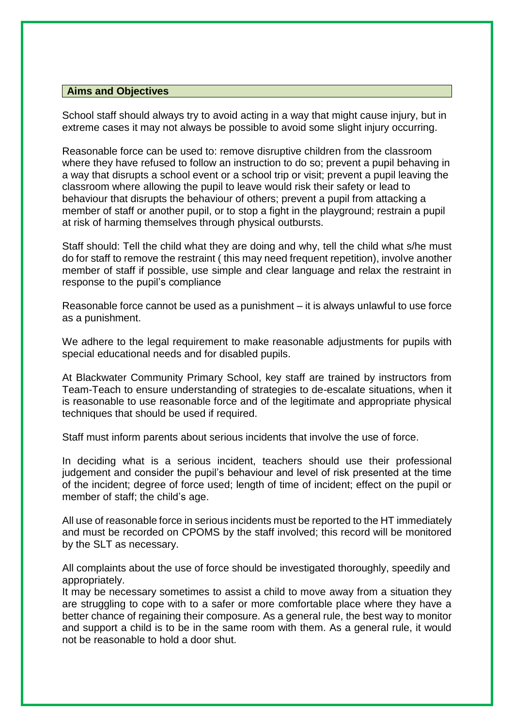## **Aims and Objectives**

School staff should always try to avoid acting in a way that might cause injury, but in extreme cases it may not always be possible to avoid some slight injury occurring.

Reasonable force can be used to: remove disruptive children from the classroom where they have refused to follow an instruction to do so; prevent a pupil behaving in a way that disrupts a school event or a school trip or visit; prevent a pupil leaving the classroom where allowing the pupil to leave would risk their safety or lead to behaviour that disrupts the behaviour of others; prevent a pupil from attacking a member of staff or another pupil, or to stop a fight in the playground; restrain a pupil at risk of harming themselves through physical outbursts.

Staff should: Tell the child what they are doing and why, tell the child what s/he must do for staff to remove the restraint ( this may need frequent repetition), involve another member of staff if possible, use simple and clear language and relax the restraint in response to the pupil's compliance

Reasonable force cannot be used as a punishment – it is always unlawful to use force as a punishment.

We adhere to the legal requirement to make reasonable adjustments for pupils with special educational needs and for disabled pupils.

At Blackwater Community Primary School, key staff are trained by instructors from Team-Teach to ensure understanding of strategies to de-escalate situations, when it is reasonable to use reasonable force and of the legitimate and appropriate physical techniques that should be used if required.

Staff must inform parents about serious incidents that involve the use of force.

In deciding what is a serious incident, teachers should use their professional judgement and consider the pupil's behaviour and level of risk presented at the time of the incident; degree of force used; length of time of incident; effect on the pupil or member of staff; the child's age.

All use of reasonable force in serious incidents must be reported to the HT immediately and must be recorded on CPOMS by the staff involved; this record will be monitored by the SLT as necessary.

All complaints about the use of force should be investigated thoroughly, speedily and appropriately.

It may be necessary sometimes to assist a child to move away from a situation they are struggling to cope with to a safer or more comfortable place where they have a better chance of regaining their composure. As a general rule, the best way to monitor and support a child is to be in the same room with them. As a general rule, it would not be reasonable to hold a door shut.